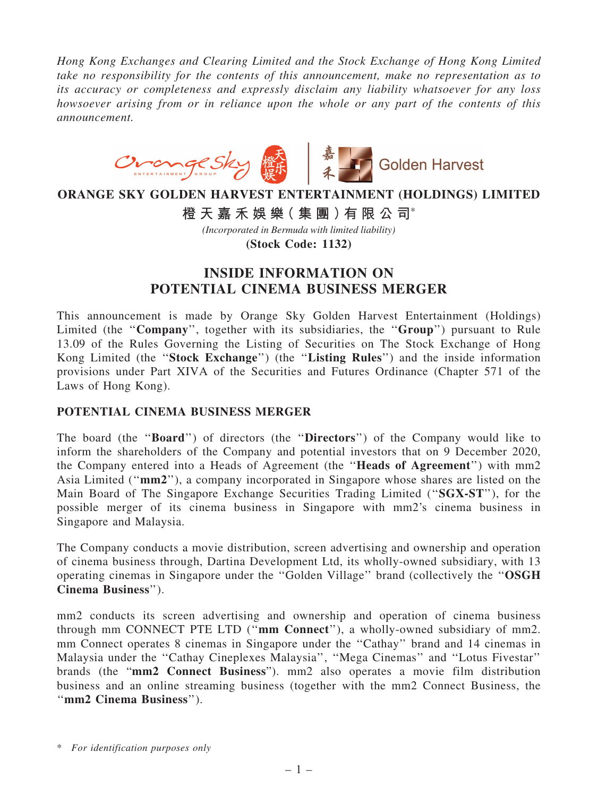*Hong Kong Exchanges and Clearing Limited and the Stock Exchange of Hong Kong Limited take no responsibility for the contents of this announcement, make no representation as to its accuracy or completeness and expressly disclaim any liability whatsoever for any loss howsoever arising from or in reliance upon the whole or any part of the contents of this announcement.*



# **ORANGE SKY GOLDEN HARVEST ENTERTAINMENT (HOLDINGS) LIMITED**

**橙 天 嘉 禾 娛 樂( 集 團 )有 限 公 司**\*

*(Incorporated in Bermuda with limited liability)*

**(Stock Code: 1132)**

# INSIDE INFORMATION ON POTENTIAL CINEMA BUSINESS MERGER

This announcement is made by Orange Sky Golden Harvest Entertainment (Holdings) Limited (the "Company", together with its subsidiaries, the "Group") pursuant to Rule 13.09 of the Rules Governing the Listing of Securities on The Stock Exchange of Hong Kong Limited (the ''Stock Exchange'') (the ''Listing Rules'') and the inside information provisions under Part XIVA of the Securities and Futures Ordinance (Chapter 571 of the Laws of Hong Kong).

### POTENTIAL CINEMA BUSINESS MERGER

The board (the ''Board'') of directors (the ''Directors'') of the Company would like to inform the shareholders of the Company and potential investors that on 9 December 2020, the Company entered into a Heads of Agreement (the ''Heads of Agreement'') with mm2 Asia Limited (''mm2''), a company incorporated in Singapore whose shares are listed on the Main Board of The Singapore Exchange Securities Trading Limited (''SGX-ST''), for the possible merger of its cinema business in Singapore with mm2's cinema business in Singapore and Malaysia.

The Company conducts a movie distribution, screen advertising and ownership and operation of cinema business through, Dartina Development Ltd, its wholly-owned subsidiary, with 13 operating cinemas in Singapore under the ''Golden Village'' brand (collectively the ''OSGH Cinema Business'').

mm2 conducts its screen advertising and ownership and operation of cinema business through mm CONNECT PTE LTD (''mm Connect''), a wholly-owned subsidiary of mm2. mm Connect operates 8 cinemas in Singapore under the ''Cathay'' brand and 14 cinemas in Malaysia under the ''Cathay Cineplexes Malaysia'', ''Mega Cinemas'' and ''Lotus Fivestar'' brands (the "mm2 Connect Business"). mm2 also operates a movie film distribution business and an online streaming business (together with the mm2 Connect Business, the ''mm2 Cinema Business'').

<sup>\*</sup> *For identification purposes only*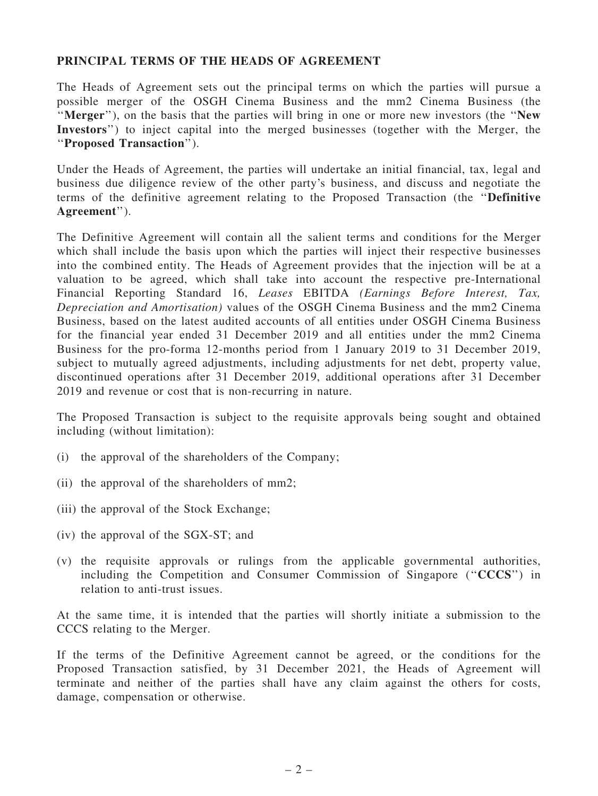### PRINCIPAL TERMS OF THE HEADS OF AGREEMENT

The Heads of Agreement sets out the principal terms on which the parties will pursue a possible merger of the OSGH Cinema Business and the mm2 Cinema Business (the ''Merger''), on the basis that the parties will bring in one or more new investors (the ''New Investors'') to inject capital into the merged businesses (together with the Merger, the ''Proposed Transaction'').

Under the Heads of Agreement, the parties will undertake an initial financial, tax, legal and business due diligence review of the other party's business, and discuss and negotiate the terms of the definitive agreement relating to the Proposed Transaction (the ''Definitive Agreement'').

The Definitive Agreement will contain all the salient terms and conditions for the Merger which shall include the basis upon which the parties will inject their respective businesses into the combined entity. The Heads of Agreement provides that the injection will be at a valuation to be agreed, which shall take into account the respective pre-International Financial Reporting Standard 16, *Leases* EBITDA *(Earnings Before Interest, Tax, Depreciation and Amortisation)* values of the OSGH Cinema Business and the mm2 Cinema Business, based on the latest audited accounts of all entities under OSGH Cinema Business for the financial year ended 31 December 2019 and all entities under the mm2 Cinema Business for the pro-forma 12-months period from 1 January 2019 to 31 December 2019, subject to mutually agreed adjustments, including adjustments for net debt, property value, discontinued operations after 31 December 2019, additional operations after 31 December 2019 and revenue or cost that is non-recurring in nature.

The Proposed Transaction is subject to the requisite approvals being sought and obtained including (without limitation):

- (i) the approval of the shareholders of the Company;
- (ii) the approval of the shareholders of mm2;
- (iii) the approval of the Stock Exchange;
- (iv) the approval of the SGX-ST; and
- (v) the requisite approvals or rulings from the applicable governmental authorities, including the Competition and Consumer Commission of Singapore ("CCCS") in relation to anti-trust issues.

At the same time, it is intended that the parties will shortly initiate a submission to the CCCS relating to the Merger.

If the terms of the Definitive Agreement cannot be agreed, or the conditions for the Proposed Transaction satisfied, by 31 December 2021, the Heads of Agreement will terminate and neither of the parties shall have any claim against the others for costs, damage, compensation or otherwise.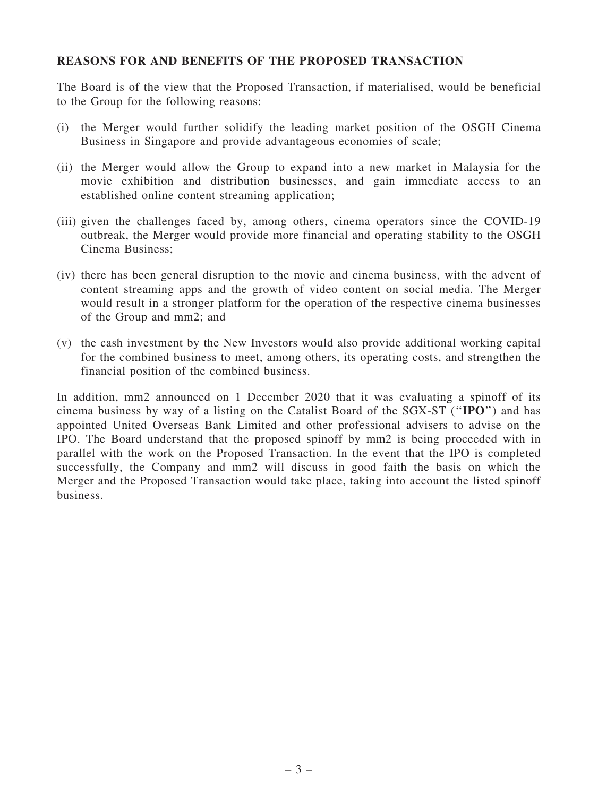#### REASONS FOR AND BENEFITS OF THE PROPOSED TRANSACTION

The Board is of the view that the Proposed Transaction, if materialised, would be beneficial to the Group for the following reasons:

- (i) the Merger would further solidify the leading market position of the OSGH Cinema Business in Singapore and provide advantageous economies of scale;
- (ii) the Merger would allow the Group to expand into a new market in Malaysia for the movie exhibition and distribution businesses, and gain immediate access to an established online content streaming application;
- (iii) given the challenges faced by, among others, cinema operators since the COVID-19 outbreak, the Merger would provide more financial and operating stability to the OSGH Cinema Business;
- (iv) there has been general disruption to the movie and cinema business, with the advent of content streaming apps and the growth of video content on social media. The Merger would result in a stronger platform for the operation of the respective cinema businesses of the Group and mm2; and
- (v) the cash investment by the New Investors would also provide additional working capital for the combined business to meet, among others, its operating costs, and strengthen the financial position of the combined business.

In addition, mm2 announced on 1 December 2020 that it was evaluating a spinoff of its cinema business by way of a listing on the Catalist Board of the SGX-ST (''IPO'') and has appointed United Overseas Bank Limited and other professional advisers to advise on the IPO. The Board understand that the proposed spinoff by mm2 is being proceeded with in parallel with the work on the Proposed Transaction. In the event that the IPO is completed successfully, the Company and mm2 will discuss in good faith the basis on which the Merger and the Proposed Transaction would take place, taking into account the listed spinoff business.